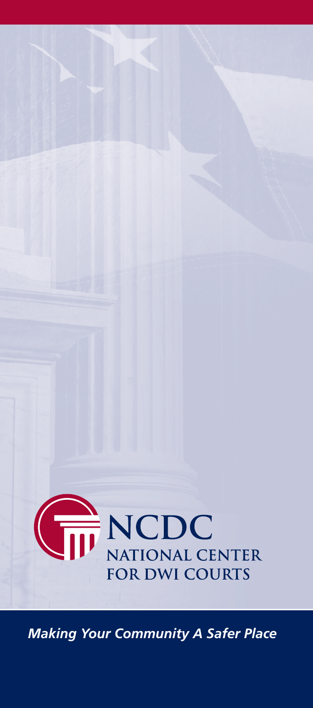

*Making Your Community A Safer Place*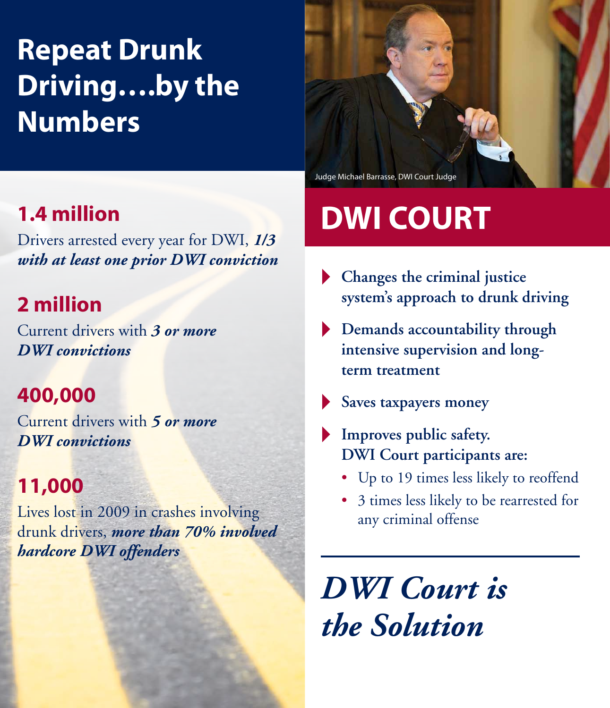# **Repeat Drunk Driving….by the Numbers**

### **1.4 million**

Drivers arrested every year for DWI, *1/3 with at least one prior DWI conviction*

### **2 million**

Current drivers with *3 or more DWI convictions*

### **400,000**

Current drivers with *5 or more DWI convictions*

### **11,000**

Lives lost in 2009 in crashes involving drunk drivers, *more than 70% involved hardcore DWI offenders*

Judge Michael Barrasse, DWI Court Judge

# **DWI COURT**

- **Changes the criminal justice system's approach to drunk driving**
- **Demands accountability through intensive supervision and longterm treatment**
- **Saves taxpayers money**
- **Improves public safety. DWI Court participants are:**
	- Up to 19 times less likely to reoffend
	- 3 times less likely to be rearrested for any criminal offense

*DWI Court is the Solution*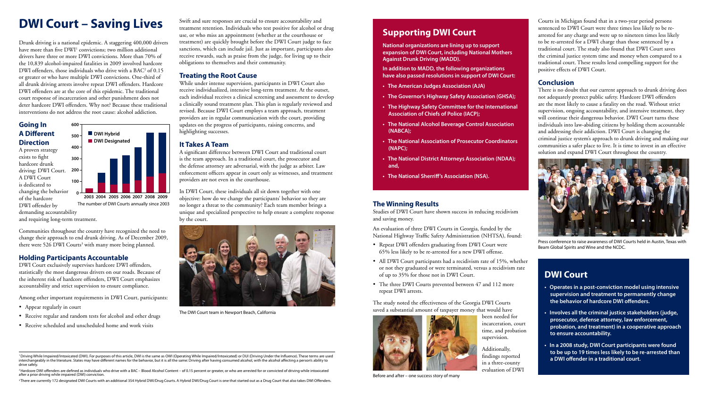<sup>1</sup> Driving While Impaired/Intoxicated (DWI). For purposes of this article, DWI is the same as OWI (Operating While Impaired/Intoxicated) or DUI (Driving Under the Influence). These terms are used interchangeably in the literature. States may have different names for the behavior, but it is all the same: Driving after having consumed alcohol, with the alcohol affecting a person's ability to drive safely.

<sup>2</sup> Hardcore DWI offenders are defined as individuals who drive with a BAC – Blood Alcohol Content – of 0.15 percent or greater, or who are arrested for or convicted of driving while intoxicated after a prior driving while impaired (DWI) conviction.

<sup>3</sup>There are currently 172 designated DWI Courts with an additional 354 Hybrid DWI/Drug Courts. A Hybrid DWI/Drug Court is one that started out as a Drug Court that also takes DWI Offenders.





Press conference to raise awareness of DWI Courts held in Austin, Texas with Beam Global Spirits and Wine and the NCDC.

The number of DWI Courts annually since 2003



## **Supporting DWI Court**

**National organizations are lining up to support expansion of DWI Court, including National Mothers Against Drunk Driving (MADD).**

**In addition to MADD, the following organizations have also passed resolutions in support of DWI Court:**

- **• The American Judges Association (AJA)**
- **• The Governor's Highway Safety Association (GHSA);**
- **• The Highway Safety Committee for the International Association of Chiefs of Police (IACP);**
- **• The National Alcohol Beverage Control Association (NABCA);**
- **• The National Association of Prosecutor Coordinators (NAPC);**
- **• The National District Attorneys Association (NDAA); and,**
- **• The National Sherriff's Association (NSA).**

Communities throughout the country have recognized the need to change their approach to end drunk driving. As of December 2009, there were 526 DWI Courts<sup>3</sup> with many more being planned.



Before and after – one success story of many

### **DWI Court**

- **• Operates in a post-conviction model using intensive supervision and treatment to permanently change the behavior of hardcore DWI offenders.**
- **• Involves all the criminal justice stakeholders (judge, prosecutor, defense attorney, law enforcement, probation, and treatment) in a cooperative approach to ensure accountability.**
- **• In a 2008 study, DWI Court participants were found to be up to 19 times less likely to be re-arrested than a DWI offender in a traditional court.**

**200** driving: DWI Court. A proven strategy exists to fight hardcore drunk A DWI Court is dedicated to changing the behavior of the hardcore DWI offender by



The DWI Court team in Newport Beach, California

Drunk driving is a national epidemic. A staggering 400,000 drivers have more than five DWI<sup>1</sup> convictions; two million additional drivers have three or more DWI convictions. More than 70% of the 10,839 alcohol-impaired fatalities in 2009 involved hardcore DWI offenders, those individuals who drive with a BAC<sup>2</sup> of 0.15 or greater or who have multiple DWI convictions. One-third of all drunk driving arrests involve repeat DWI offenders. Hardcore DWI offenders are at the core of this epidemic. The traditional court response of incarceration and other punishment does not deter hardcore DWI offenders. Why not? Because these traditional interventions do not address the root cause: alcohol addiction.

#### **Going In A Different Direction**

demanding accountability

and requiring long-term treatment.

#### **Holding Participants Accountable**

- Repeat DWI offenders graduating from DWI Court were 65% less likely to be re-arrested for a new DWI offense.
- All DWI Court participants had a recidivism rate of 15%, whether or not they graduated or were terminated, versus a recidivism rate of up to 35% for those not in DWI Court.
- The three DWI Courts prevented between 47 and 112 more repeat DWI arrests.

DWI Court exclusively supervises hardcore DWI offenders, statistically the most dangerous drivers on our roads. Because of the inherent risk of hardcore offenders, DWI Court emphasizes accountability and strict supervision to ensure compliance.

Among other important requirements in DWI Court, participants:

- Appear regularly in court
- Receive regular and random tests for alcohol and other drugs
- Receive scheduled and unscheduled home and work visits

Swift and sure responses are crucial to ensure accountability and treatment retention. Individuals who test positive for alcohol or drug use, or who miss an appointment (whether at the courthouse or treatment) are quickly brought before the DWI Court judge to face sanctions, which can include jail. Just as important, participants also receive rewards, such as praise from the judge, for living up to their obligations to themselves and their community.

#### **Treating the Root Cause**

While under intense supervision, participants in DWI Court also receive individualized, intensive long-term treatment. At the outset, each individual receives a clinical screening and assessment to develop a clinically sound treatment plan. This plan is regularly reviewed and revised. Because DWI Court employs a team approach, treatment providers are in regular communication with the court, providing updates on the progress of participants, raising concerns, and highlighting successes.

#### **It Takes A Team**

A significant difference between DWI Court and traditional court is the team approach. In a traditional court, the prosecutor and the defense attorney are adversarial, with the judge as arbiter. Law enforcement officers appear in court only as witnesses, and treatment providers are not even in the courthouse.

In DWI Court, these individuals all sit down together with one objective: how do we change the participants' behavior so they are no longer a threat to the community? Each team member brings a unique and specialized perspective to help ensure a complete response by the court.

Courts in Michigan found that in a two-year period persons sentenced to DWI Court were three times less likely to be rearrested for any charge and were up to nineteen times less likely to be re-arrested for a DWI charge than those sentenced by a traditional court. The study also found that DWI Court saves the criminal justice system time and money when compared to a traditional court. These results lend compelling support for the positive effects of DWI Court.

#### **Conclusion**

There is no doubt that our current approach to drunk driving does not adequately protect public safety. Hardcore DWI offenders are the most likely to cause a fatality on the road. Without strict supervision, ongoing accountability, and intensive treatment, they will continue their dangerous behavior. DWI Court turns these individuals into law-abiding citizens by holding them accountable and addressing their addiction. DWI Court is changing the criminal justice system's approach to drunk driving and making our communities a safer place to live. It is time to invest in an effective solution and expand DWI Court throughout the country.

#### **The Winning Results**

Studies of DWI Court have shown success in reducing recidivism and saving money.

An evaluation of three DWI Courts in Georgia, funded by the National Highway Traffic Safety Administration (NHTSA), found:

The study noted the effectiveness of the Georgia DWI Courts saved a substantial amount of taxpayer money that would have

been needed for incarceration, court time, and probation supervision.



Additionally, findings reported in a three-county evaluation of DWI

### **DWI Court – Saving Lives**